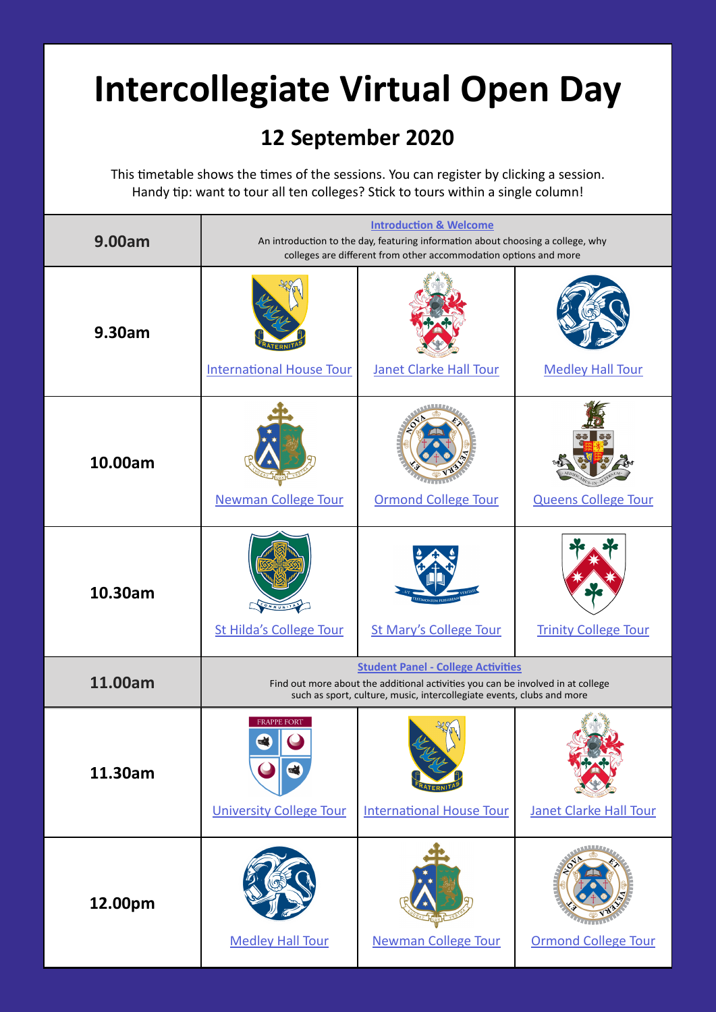## **Intercollegiate Virtual Open Day**

## **12 September 2020**

This timetable shows the times of the sessions. You can register by clicking a session. Handy tip: want to tour all ten colleges? Stick to tours within a single column!

| 9.00am  | <b>Introduction &amp; Welcome</b><br>An introduction to the day, featuring information about choosing a college, why<br>colleges are different from other accommodation options and more              |                                 |                               |
|---------|-------------------------------------------------------------------------------------------------------------------------------------------------------------------------------------------------------|---------------------------------|-------------------------------|
| 9.30am  | <b>International House Tour</b>                                                                                                                                                                       | <b>Janet Clarke Hall Tour</b>   | <b>Medley Hall Tour</b>       |
| 10.00am | <b>Newman College Tour</b>                                                                                                                                                                            | <b>Ormond College Tour</b>      | <b>Queens College Tour</b>    |
| 10.30am | St Hilda's College Tour                                                                                                                                                                               | <b>St Mary's College Tour</b>   | <b>Trinity College Tour</b>   |
| 11.00am | <b>Student Panel - College Activities</b><br>Find out more about the additional activities you can be involved in at college<br>such as sport, culture, music, intercollegiate events, clubs and more |                                 |                               |
| 11.30am | <b>FRAPPE FORT</b><br><b>University College Tour</b>                                                                                                                                                  | <b>International House Tour</b> | <b>Janet Clarke Hall Tour</b> |
| 12.00pm | <b>Medley Hall Tour</b>                                                                                                                                                                               | <b>Newman College Tour</b>      | <b>Ormond College Tour</b>    |